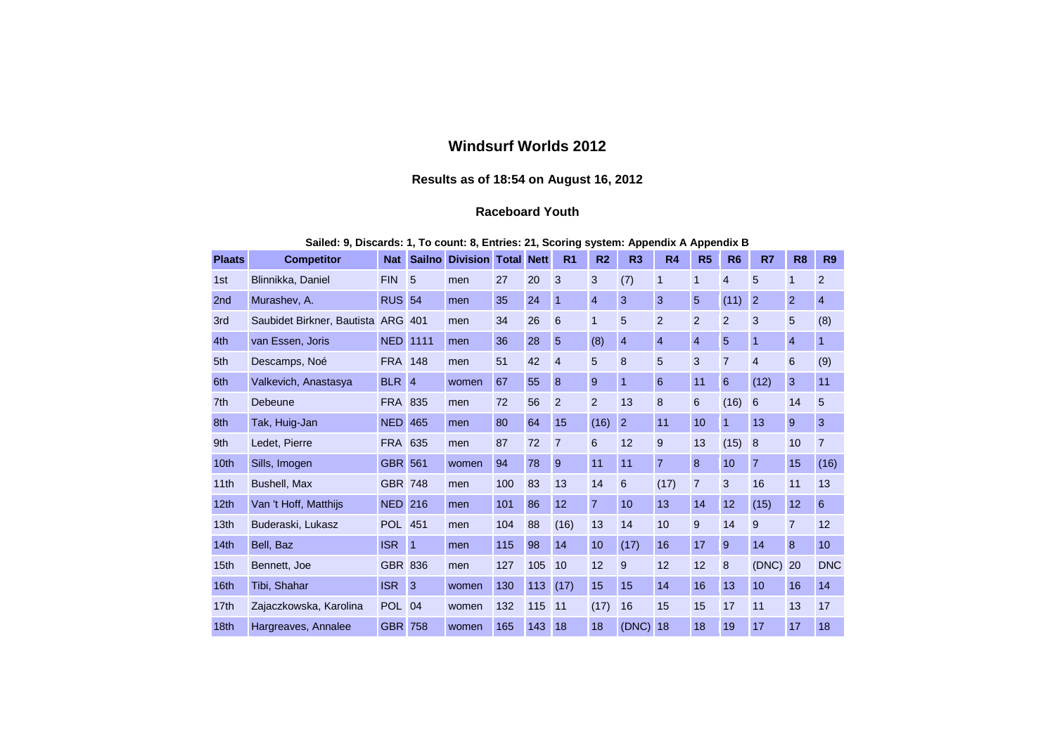## **Windsurf Worlds 2012**

## **Results as of 18:54 on August 16, 2012**

## **Raceboard Youth**

| Sailed: 9, Discards: 1, To count: 8, Entries: 21, Scoring system: Appendix A Appendix B |  |  |  |  |  |  |  |
|-----------------------------------------------------------------------------------------|--|--|--|--|--|--|--|
|                                                                                         |  |  |  |  |  |  |  |

| <b>Plaats</b>    | <b>Competitor</b>                  | <b>Nat</b>      | <b>Sailno</b> | <b>Division Total</b> |     | <b>Nett</b> | R <sub>1</sub> | R <sub>2</sub> | R <sub>3</sub> | R <sub>4</sub> | R <sub>5</sub> | R <sub>6</sub> | R7             | R <sub>8</sub> | <b>R9</b>      |
|------------------|------------------------------------|-----------------|---------------|-----------------------|-----|-------------|----------------|----------------|----------------|----------------|----------------|----------------|----------------|----------------|----------------|
| 1st              | Blinnikka, Daniel                  | <b>FIN</b>      | 5             | men                   | 27  | 20          | 3              | 3              | (7)            | 1              | 1              | $\overline{4}$ | 5              | $\mathbf{1}$   | $\overline{2}$ |
| 2 <sub>nd</sub>  | Murashev, A.                       | <b>RUS 54</b>   |               | men                   | 35  | 24          | 1              | $\overline{4}$ | 3              | 3              | 5              | (11)           | $\overline{2}$ | $\overline{2}$ | $\overline{4}$ |
| 3rd              | Saubidet Birkner, Bautista ARG 401 |                 |               | men                   | 34  | 26          | 6              | $\mathbf 1$    | 5              | 2              | 2              | $\overline{2}$ | 3              | 5              | (8)            |
| 4th              | van Essen, Joris                   | <b>NED 1111</b> |               | men                   | 36  | 28          | 5              | (8)            | $\overline{4}$ | $\overline{4}$ | $\overline{4}$ | 5              | $\overline{1}$ | $\overline{4}$ | $\mathbf{1}$   |
| 5th              | Descamps, Noé                      | <b>FRA</b> 148  |               | men                   | 51  | 42          | $\overline{4}$ | 5              | 8              | 5              | 3              | $\overline{7}$ | $\overline{4}$ | 6              | (9)            |
| 6th              | Valkevich, Anastasya               | BLR 4           |               | women                 | 67  | 55          | 8              | 9              | 1              | 6              | 11             | 6              | (12)           | 3              | 11             |
| 7 <sup>th</sup>  | Debeune                            | <b>FRA 835</b>  |               | men                   | 72  | 56          | $\overline{2}$ | 2              | 13             | 8              | 6              | (16)           | 6              | 14             | 5              |
| 8th              | Tak, Huig-Jan                      | <b>NED 465</b>  |               | men                   | 80  | 64          | 15             | (16)           | $\overline{2}$ | 11             | 10             |                | 13             | 9              | 3              |
| 9th              | Ledet, Pierre                      | <b>FRA 635</b>  |               | men                   | 87  | 72          | $\overline{7}$ | 6              | 12             | 9              | 13             | (15)           | 8              | 10             | $\overline{7}$ |
| 10 <sub>th</sub> | Sills, Imogen                      | <b>GBR 561</b>  |               | women                 | 94  | 78          | 9              | 11             | 11             | $\overline{7}$ | 8              | 10             | $\overline{7}$ | 15             | (16)           |
| 11th             | Bushell, Max                       | <b>GBR 748</b>  |               | men                   | 100 | 83          | 13             | 14             | 6              | (17)           | $\overline{7}$ | 3              | 16             | 11             | 13             |
| 12 <sub>th</sub> | Van 't Hoff, Matthijs              | <b>NED 216</b>  |               | men                   | 101 | 86          | 12             | $\overline{7}$ | 10             | 13             | 14             | 12             | (15)           | 12             | 6              |
| 13th             | Buderaski, Lukasz                  | <b>POL</b> 451  |               | men                   | 104 | 88          | (16)           | 13             | 14             | 10             | 9              | 14             | 9              | $\overline{7}$ | 12             |
| 14 <sub>th</sub> | Bell, Baz                          | <b>ISR</b>      | $\vert$ 1     | men                   | 115 | 98          | 14             | 10             | (17)           | 16             | 17             | 9              | 14             | 8              | 10             |
| 15 <sub>th</sub> | Bennett, Joe                       | <b>GBR 836</b>  |               | men                   | 127 | 105         | 10             | 12             | 9              | 12             | 12             | 8              | (DNC)          | 20             | <b>DNC</b>     |
| 16th             | Tibi, Shahar                       | <b>ISR</b>      | 3             | women                 | 130 | 113         | (17)           | 15             | 15             | 14             | 16             | 13             | 10             | 16             | 14             |
| 17th             | Zajaczkowska, Karolina             | <b>POL 04</b>   |               | women                 | 132 | 115         | 11             | (17)           | 16             | 15             | 15             | 17             | 11             | 13             | 17             |
| 18 <sub>th</sub> | Hargreaves, Annalee                | <b>GBR 758</b>  |               | women                 | 165 | 143         | 18             | 18             | (DNC)          | 18             | 18             | 19             | 17             | 17             | 18             |